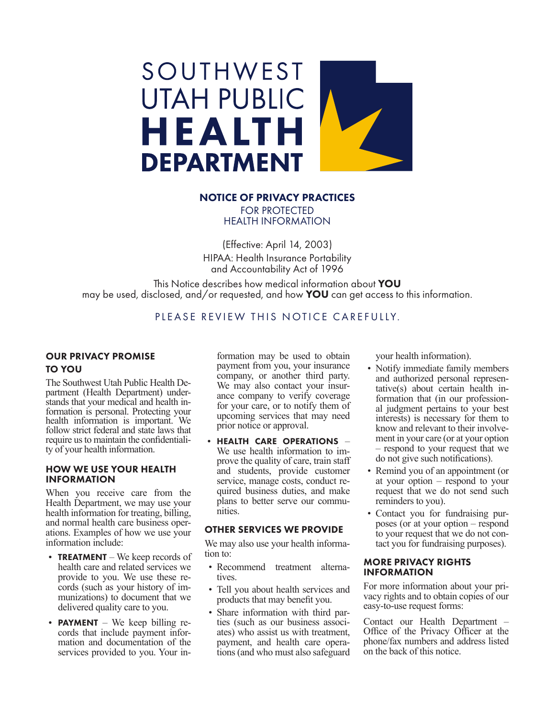

## NOTICE OF PRIVACY PRACTICES FOR PROTECTED

HEALTH INFORMATION

(Effective: April 14, 2003) HIPAA: Health Insurance Portability and Accountability Act of 1996

This Notice describes how medical information about YOU may be used, disclosed, and/or requested, and how **YOU** can get access to this information.

# PLEASE REVIEW THIS NOTICE CAREFULLY.

## OUR PRIVACY PROMISE TO YOU

The Southwest Utah Public Health Department (Health Department) under-<br>stands that your medical and health in-<br>formation is personal. Protecting your health information is important. We follow strict federal and state laws that require us to maintain the confidentiali- ty of your health information.

## HOW WE USE YOUR HEALTH INFORMATION

When you receive care from the Health Department, we may use your health information for treating, billing, and normal health care business operations. Examples of how we use your information include:

- **TREATMENT** We keep records of health care and related services we provide to you. We use these remunizations) to document that we delivered quality care to you.
- **PAYMENT** We keep billing records that include payment information and documentation of the services provided to you. Your in-

formation may be used to obtain payment from you, your insurance company, or another third party. We may also contact your insurance company to verify coverage for your care, or to notify them of upcoming services that may need prior notice or approval.

• HEALTH CARE OPERATIONS – We use health information to improve the quality of care, train staff and students, provide customer quired business duties, and make plans to better serve our commu- nities.

## OTHER SERVICES WE PROVIDE

We may also use your health information to:

- Recommend treatment alternatives.
- Tell you about health services and products that may benefit you.
- Share information with third parties (such as our business associates) who assist us with treatment, payment, and health care operations (and who must also safeguard

your health information).

- Notify immediate family members and authorized personal representative(s) about certain health information that (in our professional judgment pertains to your best interests) is necessary for them to know and relevant to their involvement in your care (or at your option – respond to your request that we do not give such notifications).
- Remind you of an appointment (or at your option – respond to your request that we do not send such reminders to you).
- Contact you for fundraising purposes (or at your option – respond to your request that we do not contact you for fundraising purposes).

### MORE PRIVACY RIGHTS INFORMATION

For more information about your privacy rights and to obtain copies of our easy-to-use request forms:

Contact our Health Department – Office of the Privacy Officer at the phone/fax numbers and address listed on the back of this notice.